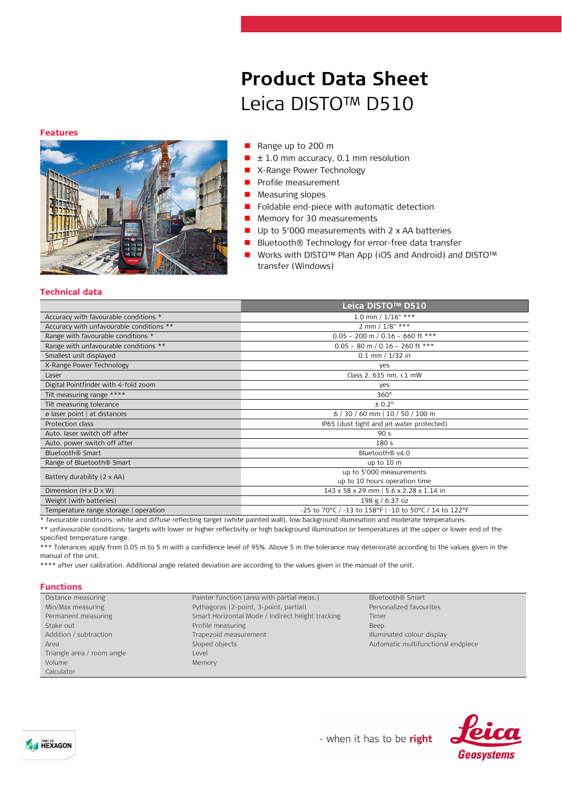### **Features**



# **Product Data Sheet** Leica DISTO™ D510

- Range up to 200 m
- ± 1.0 mm accuracy, 0.1 mm resolution
- X-Range Power Technology
- Profile measurement
- **Measuring slopes**
- **F** Foldable end-piece with automatic detection
- Memory for 30 measurements
- Up to 5'000 measurements with 2 x AA batteries
- Bluetooth® Technology for error-free data transfer
- Works with DISTO<sup>™</sup> Plan App (iOS and Android) and DISTO<sup>™</sup> transfer (Windows)

## **Technical data**

|                                          | Leica DISTO™ D510                                      |  |
|------------------------------------------|--------------------------------------------------------|--|
| Accuracy with favourable conditions *    | 1.0 mm / $1/16"$ ***                                   |  |
| Accuracy with unfavourable conditions ** | $2$ mm $/ 1/8"$ ***                                    |  |
| Range with favourable conditions *       | $0.05 - 200$ m / 0.16 - 660 ft ***                     |  |
| Range with unfavourable conditions **    | $0.05 - 80$ m / $0.16 - 260$ ft ***                    |  |
| Smallest unit displayed                  | $0.1$ mm $/ 1/32$ in                                   |  |
| X-Range Power Technology                 | yes                                                    |  |
| Laser                                    | Class 2, 635 nm, <1 mW                                 |  |
| Digital Pointfinder with 4-fold zoom     | yes                                                    |  |
| Tilt measuring range ****                | $360^\circ$                                            |  |
| Tilt measuring tolerance                 | $\pm 0.2^{\circ}$                                      |  |
| ø laser point   at distances             | $6/30/60$ mm   10 / 50 / 100 m                         |  |
| Protection class                         | IP65 (dust tight and jet water protected)              |  |
| Auto. laser switch off after             | 90 <sub>5</sub>                                        |  |
| Auto. power switch off after             | 180 <sub>s</sub>                                       |  |
| Bluetooth <sup>®</sup> Smart             | Bluetooth <sup>®</sup> v4.0                            |  |
| Range of Bluetooth <sup>®</sup> Smart    | up to 10 m                                             |  |
| Battery durability (2 x AA)              | up to 5'000 measurements                               |  |
|                                          | up to 10 hours operation time                          |  |
| Dimension $(H \times D \times W)$        | 143 x 58 x 29 mm   5.6 x 2.28 x 1.14 in                |  |
| Weight (with batteries)                  | 198 g / 6.37 oz                                        |  |
| Temperature range storage   operation    | -25 to 70°C / -13 to 158°F   -10 to 50°C / 14 to 122°F |  |

\* favourable conditions: white and diffuse reflecting target (white painted wall), low background illumination and moderate temperatures.

\*\* unfavourable conditions: targets with lower or higher reflectivity or high background illumination or temperatures at the upper or lower end of the specified temperature range.

\*\*\* Tolerances apply from 0.05 m to 5 m with a confidence level of 95%. Above 5 m the tolerance may deteriorate according to the values given in the manual of the unit.

\*\*\*\* after user calibration. Additional angle related deviation are according to the values given in the manual of the unit.

#### **Functions**

| Distance measuring         | Painter function (area with partial meas.)       | Bluetooth <sup>®</sup> Smart       |
|----------------------------|--------------------------------------------------|------------------------------------|
| Min/Max measuring          | Pythagoras (2-point, 3-point, partial)           | Personalized favourites            |
| Permanent measuring        | Smart Horizontal Mode / Indirect height tracking | Timer                              |
| Stake out                  | Profile measuring                                | Beep                               |
| Addition / subtraction     | Trapezoid measurement                            | Illuminated colour display         |
| Area                       | Sloped objects                                   | Automatic multifunctional endpiece |
| Triangle area / room angle | Level                                            |                                    |
| Volume                     | Memory                                           |                                    |
| Calculator                 |                                                  |                                    |